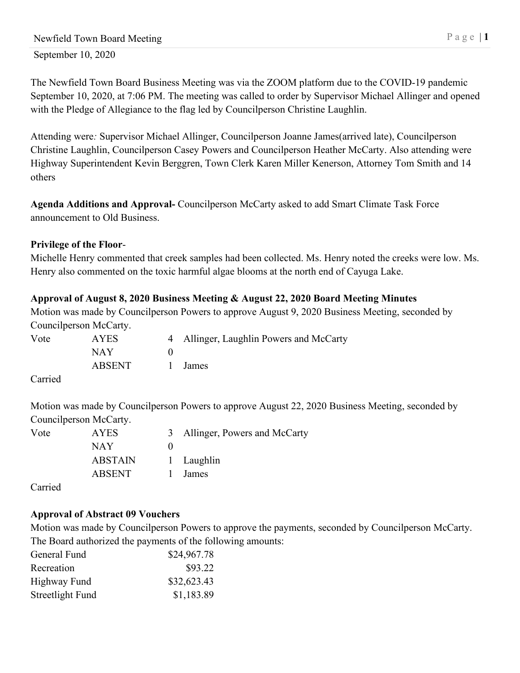The Newfield Town Board Business Meeting was via the ZOOM platform due to the COVID-19 pandemic September 10, 2020, at 7:06 PM. The meeting was called to order by Supervisor Michael Allinger and opened with the Pledge of Allegiance to the flag led by Councilperson Christine Laughlin.

Attending were*:* Supervisor Michael Allinger, Councilperson Joanne James(arrived late), Councilperson Christine Laughlin, Councilperson Casey Powers and Councilperson Heather McCarty. Also attending were Highway Superintendent Kevin Berggren, Town Clerk Karen Miller Kenerson, Attorney Tom Smith and 14 others

**Agenda Additions and Approval-** Councilperson McCarty asked to add Smart Climate Task Force announcement to Old Business.

#### **Privilege of the Floor**-

Michelle Henry commented that creek samples had been collected. Ms. Henry noted the creeks were low. Ms. Henry also commented on the toxic harmful algae blooms at the north end of Cayuga Lake.

# **Approval of August 8, 2020 Business Meeting & August 22, 2020 Board Meeting Minutes**

Motion was made by Councilperson Powers to approve August 9, 2020 Business Meeting, seconded by Councilperson McCarty.

| Vote  | <b>AYES</b> | 4 Allinger, Laughlin Powers and McCarty |
|-------|-------------|-----------------------------------------|
|       | NAY.        |                                         |
|       | ABSENT      | 1 James                                 |
| _____ |             |                                         |

Carried

Motion was made by Councilperson Powers to approve August 22, 2020 Business Meeting, seconded by Councilperson McCarty.

| Vote | <b>AYES</b> | 3 Allinger, Powers and McCarty |
|------|-------------|--------------------------------|
|      | NAY.        |                                |
|      | ABSTAIN     | 1 Laughlin                     |
|      | ABSENT      | James                          |

Carried

# **Approval of Abstract 09 Vouchers**

Motion was made by Councilperson Powers to approve the payments, seconded by Councilperson McCarty. The Board authorized the payments of the following amounts:

| General Fund     | \$24,967.78 |
|------------------|-------------|
| Recreation       | \$93.22     |
| Highway Fund     | \$32,623.43 |
| Streetlight Fund | \$1,183.89  |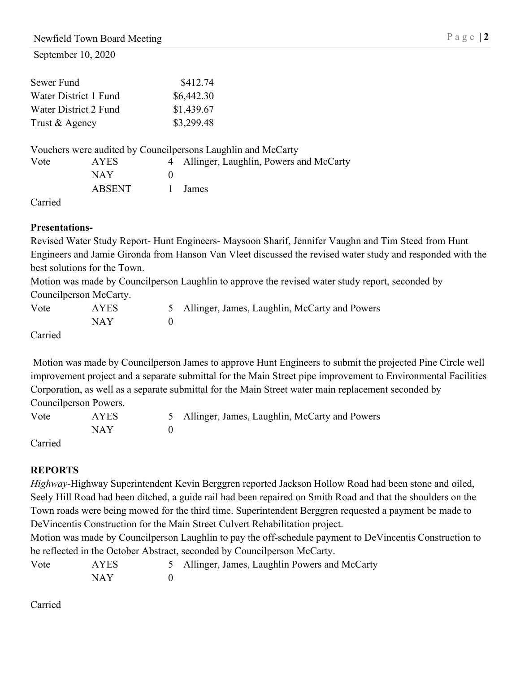September 10, 2020

| \$412.74   |
|------------|
| \$6,442.30 |
| \$1,439.67 |
| \$3,299.48 |
|            |

|      |        | Vouchers were audited by Councilpersons Laughlin and McCarty |
|------|--------|--------------------------------------------------------------|
| Vote | AYES.  | 4 Allinger, Laughlin, Powers and McCarty                     |
|      | NAY.   |                                                              |
|      | ABSENT | 1 James                                                      |

Carried

### **Presentations-**

Revised Water Study Report- Hunt Engineers- Maysoon Sharif, Jennifer Vaughn and Tim Steed from Hunt Engineers and Jamie Gironda from Hanson Van Vleet discussed the revised water study and responded with the best solutions for the Town.

Motion was made by Councilperson Laughlin to approve the revised water study report, seconded by Councilperson McCarty.

| Vote          | <b>AYES</b> | 5 Allinger, James, Laughlin, McCarty and Powers |
|---------------|-------------|-------------------------------------------------|
|               | NAY         |                                                 |
| $\sim$ $\sim$ |             |                                                 |

Carried

Motion was made by Councilperson James to approve Hunt Engineers to submit the projected Pine Circle well improvement project and a separate submittal for the Main Street pipe improvement to Environmental Facilities Corporation, as well as a separate submittal for the Main Street water main replacement seconded by Councilperson Powers.

| Vote | <b>AYES</b> | 5 Allinger, James, Laughlin, McCarty and Powers |
|------|-------------|-------------------------------------------------|
|      | NAY         |                                                 |
|      |             |                                                 |

Carried

# **REPORTS**

*Highway-*Highway Superintendent Kevin Berggren reported Jackson Hollow Road had been stone and oiled, Seely Hill Road had been ditched, a guide rail had been repaired on Smith Road and that the shoulders on the Town roads were being mowed for the third time. Superintendent Berggren requested a payment be made to DeVincentis Construction for the Main Street Culvert Rehabilitation project.

Motion was made by Councilperson Laughlin to pay the off-schedule payment to DeVincentis Construction to be reflected in the October Abstract, seconded by Councilperson McCarty.

| Vote | <b>AYES</b> | 5 Allinger, James, Laughlin Powers and McCarty |
|------|-------------|------------------------------------------------|
|      | NAY         |                                                |

Carried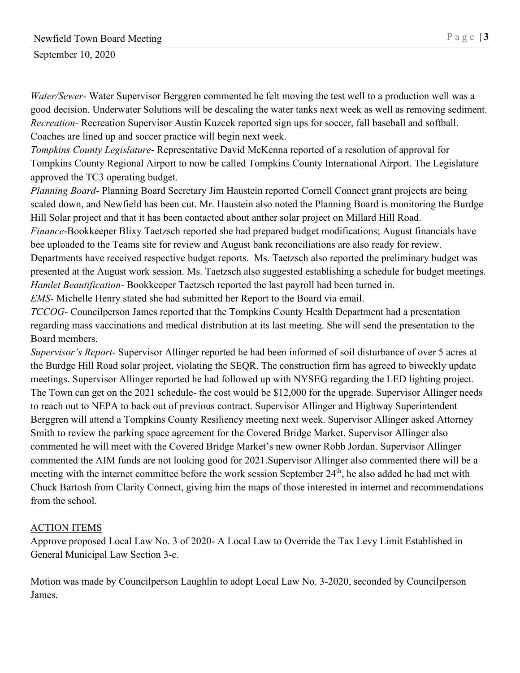September 10, 2020

*Water/Sewer-* Water Supervisor Berggren commented he felt moving the test well to a production well was a good decision. Underwater Solutions will be descaling the water tanks next week as well as removing sediment. *Recreation-* Recreation Supervisor Austin Kuzcek reported sign ups for soccer, fall baseball and softball. Coaches are lined up and soccer practice will begin next week.

*Tompkins County Legislature*- Representative David McKenna reported of a resolution of approval for Tompkins County Regional Airport to now be called Tompkins County International Airport. The Legislature approved the TC3 operating budget.

*Planning Board*- Planning Board Secretary Jim Haustein reported Cornell Connect grant projects are being scaled down, and Newfield has been cut. Mr. Haustein also noted the Planning Board is monitoring the Burdge Hill Solar project and that it has been contacted about anther solar project on Millard Hill Road.

*Finance*-Bookkeeper Blixy Taetzsch reported she had prepared budget modifications; August financials have bee uploaded to the Teams site for review and August bank reconciliations are also ready for review. Departments have received respective budget reports. Ms. Taetzsch also reported the preliminary budget was presented at the August work session. Ms. Taetzsch also suggested establishing a schedule for budget meetings. *Hamlet Beautification-* Bookkeeper Taetzsch reported the last payroll had been turned in.

*EMS*- Michelle Henry stated she had submitted her Report to the Board via email.

*TCCOG-* Councilperson James reported that the Tompkins County Health Department had a presentation regarding mass vaccinations and medical distribution at its last meeting. She will send the presentation to the Board members.

*Supervisor's Report-* Supervisor Allinger reported he had been informed of soil disturbance of over 5 acres at the Burdge Hill Road solar project, violating the SEQR. The construction firm has agreed to biweekly update meetings. Supervisor Allinger reported he had followed up with NYSEG regarding the LED lighting project. The Town can get on the 2021 schedule- the cost would be \$12,000 for the upgrade. Supervisor Allinger needs to reach out to NEPA to back out of previous contract. Supervisor Allinger and Highway Superintendent Berggren will attend a Tompkins County Resiliency meeting next week. Supervisor Allinger asked Attorney Smith to review the parking space agreement for the Covered Bridge Market. Supervisor Allinger also commented he will meet with the Covered Bridge Market's new owner Robb Jordan. Supervisor Allinger commented the AIM funds are not looking good for 2021.Supervisor Allinger also commented there will be a meeting with the internet committee before the work session September 24<sup>th</sup>, he also added he had met with Chuck Bartosh from Clarity Connect, giving him the maps of those interested in internet and recommendations from the school.

# ACTION ITEMS

Approve proposed Local Law No. 3 of 2020- A Local Law to Override the Tax Levy Limit Established in General Municipal Law Section 3-c.

Motion was made by Councilperson Laughlin to adopt Local Law No. 3-2020, seconded by Councilperson James.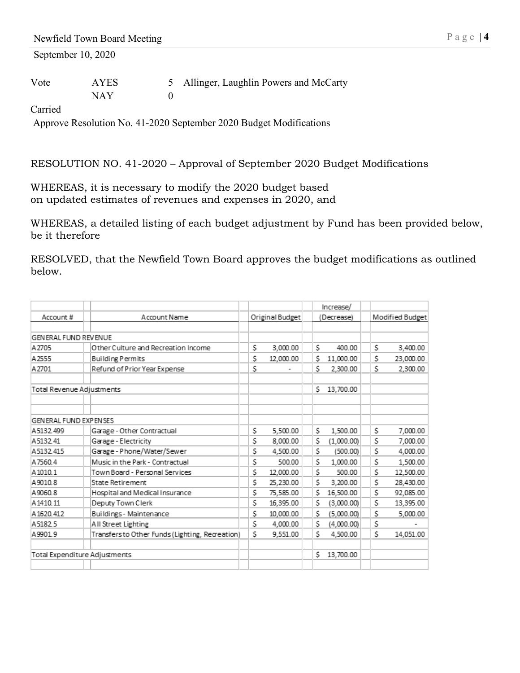September 10, 2020

| Vote | <b>AYES</b> | 5 Allinger, Laughlin Powers and McCarty |
|------|-------------|-----------------------------------------|
|      | NAY         |                                         |

Carried

Approve Resolution No. 41-2020 September 2020 Budget Modifications

RESOLUTION NO. 41-2020 – Approval of September 2020 Budget Modifications

WHEREAS, it is necessary to modify the 2020 budget based on updated estimates of revenues and expenses in 2020, and

WHEREAS, a detailed listing of each budget adjustment by Fund has been provided below, be it therefore

RESOLVED, that the Newfield Town Board approves the budget modifications as outlined below.

|                               |                                                 |    |                 |    | Increase/  |    |                 |
|-------------------------------|-------------------------------------------------|----|-----------------|----|------------|----|-----------------|
| Account #                     | Account Name                                    |    | Original Budget |    | (Decrease) |    | Modified Budget |
|                               |                                                 |    |                 |    |            |    |                 |
| <b>GENERAL FUND REVENUE</b>   |                                                 |    |                 |    |            |    |                 |
| A2705                         | Other Culture and Recreation Income             | \$ | 3,000.00        | S. | 400.00     | \$ | 3,400.00        |
| A2555                         | <b>Building Permits</b>                         | \$ | 12,000.00       | Ś. | 11,000.00  | \$ | 23,000.00       |
| A2701                         | Refund of Prior Year Expense                    | \$ |                 | \$ | 2,300.00   | \$ | 2,300.00        |
| Total Revenue Adjustments     |                                                 |    |                 | Ś. | 13,700.00  |    |                 |
| <b>GENERAL FUND EXPENSES</b>  |                                                 |    |                 |    |            |    |                 |
|                               |                                                 |    |                 |    |            |    |                 |
| A5132.499                     | Garage - Other Contractual                      | S  | 5,500.00        | S. | 1,500.00   | S  | 7,000.00        |
| A513241                       | Garage - Electricity                            | \$ | 8,000.00        | \$ | (1,000.00) | \$ | 7,000.00        |
| A5132.415                     | Garage - Phone/Water/Sewer                      | \$ | 4,500.00        | \$ | (500.00)   | \$ | 4,000.00        |
| A7560.4                       | Music in the Park - Contractual                 | \$ | 500.00          | \$ | 1,000.00   | \$ | 1,500.00        |
| A1010.1                       | Town Board - Personal Services                  | \$ | 12,000.00       | \$ | 500.00     | \$ | 12,500.00       |
| A9010.8                       | <b>State Retirement</b>                         | \$ | 25,230.00       | \$ | 3,200.00   | Ś  | 28,430.00       |
| A9060.8                       | Hospital and Medical Insurance                  | \$ | 75,585.00       | \$ | 16,500.00  | \$ | 92,085.00       |
| A1410.11                      | Deputy Town Clerk                               | \$ | 16,395.00       | S  | (3,000.00) | \$ | 13,395.00       |
| A1620.412                     | Buildings - Maintenance                         | \$ | 10,000.00       | S. | (5,000.00) | \$ | 5,000.00        |
| A5182.5                       | All Street Lighting                             | \$ | 4,000.00        | \$ | (4,000.00) | \$ |                 |
| A9901.9                       | Transfers to Other Funds (Lighting, Recreation) | \$ | 9.551.00        | \$ | 4,500.00   | \$ | 14,051.00       |
| Total Expenditure Adjustments |                                                 |    |                 | Ś. | 13,700.00  |    |                 |
|                               |                                                 |    |                 |    |            |    |                 |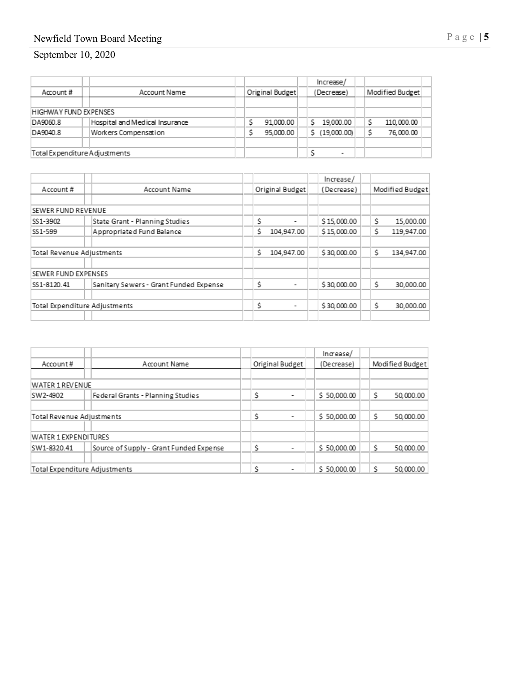### Newfield Town Board Meeting Page |

#### September 10, 202 0

|                               |                                |  |                 |   | Increase/                |  |                 |  |
|-------------------------------|--------------------------------|--|-----------------|---|--------------------------|--|-----------------|--|
| Account#                      | Account Name                   |  | Original Budget |   | (Decrease)               |  | Modified Budget |  |
|                               |                                |  |                 |   |                          |  |                 |  |
| <b>HIGHWAY FUND EXPENSES</b>  |                                |  |                 |   |                          |  |                 |  |
| DA9060.8                      | Hospital and Medical Insurance |  | 91.000.00       |   | 19,000.00                |  | 110,000.00      |  |
| DA9040.8                      | Workers Compensation           |  | 95,000.00       | s | (19,000.00)              |  | 76,000.00       |  |
|                               |                                |  |                 |   |                          |  |                 |  |
| Total Expenditure Adjustments |                                |  |                 |   | $\overline{\phantom{a}}$ |  |                 |  |

|                               |                                        |                  | Increase/   |                  |
|-------------------------------|----------------------------------------|------------------|-------------|------------------|
| Account#                      | Account Name                           | Original Budget  | (Decrease)  | Modified Budget  |
|                               |                                        |                  |             |                  |
| SEWER FUND REVENUE            |                                        |                  |             |                  |
| SS1-3902                      | State Grant - Planning Studies         | S<br>۰           | \$15,000.00 | Ŝ<br>15,000.00   |
| SS1-599                       | Appropriated Fund Balance              | Ś.<br>104,947.00 | \$15,000.00 | Ś<br>119,947.00  |
| Total Revenue Adjustments     |                                        | Ś.<br>104,947.00 | \$30,000.00 | Ŝ.<br>134,947.00 |
| SEWER FUND EXPENSES           |                                        |                  |             |                  |
| SS1-8120.41                   | Sanitary Sewers - Grant Funded Expense | Ś<br>۰           | \$30,000.00 | Ŝ<br>30,000.00   |
| Total Expenditure Adjustments |                                        | Ś<br>۰           | \$30,000.00 | Ŝ<br>30,000.00   |
|                               |                                        |                  |             |                  |

|                           |                               |                                         |  |                               | Increase/   |    |                 |
|---------------------------|-------------------------------|-----------------------------------------|--|-------------------------------|-------------|----|-----------------|
| Account#                  |                               | Account Name                            |  | Original Budget               | (Decrease)  |    | Modified Budget |
|                           |                               |                                         |  |                               |             |    |                 |
| WATER 1 REVENUE           |                               |                                         |  |                               |             |    |                 |
| SW2-4902                  |                               | Federal Grants - Planning Studies       |  | Ŝ<br>$\overline{\phantom{0}}$ | \$50,000.00 | Ś  | 50,000.00       |
|                           |                               |                                         |  |                               |             |    |                 |
| Total Revenue Adjustments |                               |                                         |  | Ŝ<br>$\overline{\phantom{a}}$ | \$50,000.00 | Ŝ. | 50,000.00       |
|                           |                               |                                         |  |                               |             |    |                 |
| WATER 1 EXPENDITURES      |                               |                                         |  |                               |             |    |                 |
| SW1-8320.41               |                               | Source of Supply - Grant Funded Expense |  | Ŝ                             | \$50,000.00 | Ś  | 50,000.00       |
|                           |                               |                                         |  |                               |             |    |                 |
|                           | Total Expenditure Adjustments |                                         |  | Ŝ                             | \$50,000.00 | ¢  | 50,000.00       |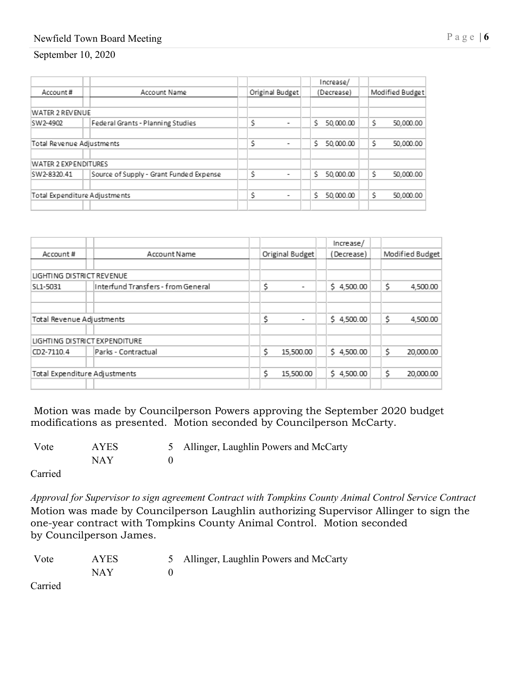# Newfield Town Board Meeting Page | **6**

#### September 10, 2020

|                                         |                                         | Increase/                          |                 |  |
|-----------------------------------------|-----------------------------------------|------------------------------------|-----------------|--|
| Account Name                            |                                         | (Decrease)                         | Modified Budget |  |
|                                         |                                         |                                    |                 |  |
|                                         |                                         |                                    |                 |  |
| Federal Grants - Planning Studies       | Ŝ                                       | Ś.<br>50,000.00                    | Ś.<br>50,000.00 |  |
| Total Revenue Adjustments               |                                         | Ś<br>50,000.00                     | Ś<br>50,000.00  |  |
|                                         |                                         |                                    |                 |  |
| Source of Supply - Grant Funded Expense | Ŝ                                       | Ś<br>50,000.00                     | Ś<br>50,000.00  |  |
| Total Expenditure Adjustments           |                                         | Ś<br>50,000.00                     | Ŝ<br>50,000.00  |  |
|                                         | WATER 2 REVENUE<br>WATER 2 EXPENDITURES | Ŝ<br>$\overline{\phantom{0}}$<br>Ś | Original Budget |  |

| Account Name                       |  |                          |                                        |                                                                                 | Modified Budget |
|------------------------------------|--|--------------------------|----------------------------------------|---------------------------------------------------------------------------------|-----------------|
|                                    |  |                          |                                        |                                                                                 |                 |
| LIGHTING DISTRICT REVENUE          |  |                          |                                        |                                                                                 |                 |
| Interfund Transfers - from General |  | ۰                        |                                        | \$                                                                              | 4,500.00        |
|                                    |  |                          |                                        |                                                                                 |                 |
| Total Revenue Adjustments          |  | $\overline{\phantom{a}}$ |                                        | \$                                                                              | 4,500.00        |
| LIGHTING DISTRICT EXPENDITURE      |  |                          |                                        |                                                                                 |                 |
| Parks - Contractual                |  | 15,500.00                |                                        | \$                                                                              | 20,000.00       |
| Total Expenditure Adjustments      |  | 15,500.00                |                                        | \$                                                                              | 20,000.00       |
|                                    |  |                          | Original Budget<br>Ś<br>\$<br>\$<br>\$ | Increase/<br>(Decrease)<br>\$4,500.00<br>\$4,500.00<br>\$4,500.00<br>\$4,500.00 |                 |

Motion was made by Councilperson Powers approving the September 2020 budget modifications as presented. Motion seconded by Councilperson McCarty.

| Vote | <b>AYES</b> | 5 Allinger, Laughlin Powers and McCarty |
|------|-------------|-----------------------------------------|
|      | NAY         |                                         |

Carried

*Approval for Supervisor to sign agreement Contract with Tompkins County Animal Control Service Contract* Motion was made by Councilperson Laughlin authorizing Supervisor Allinger to sign the one-year contract with Tompkins County Animal Control. Motion seconded by Councilperson James.

| Vote | AYES. | 5 Allinger, Laughlin Powers and McCarty |
|------|-------|-----------------------------------------|
|      | NAY   |                                         |

Carried